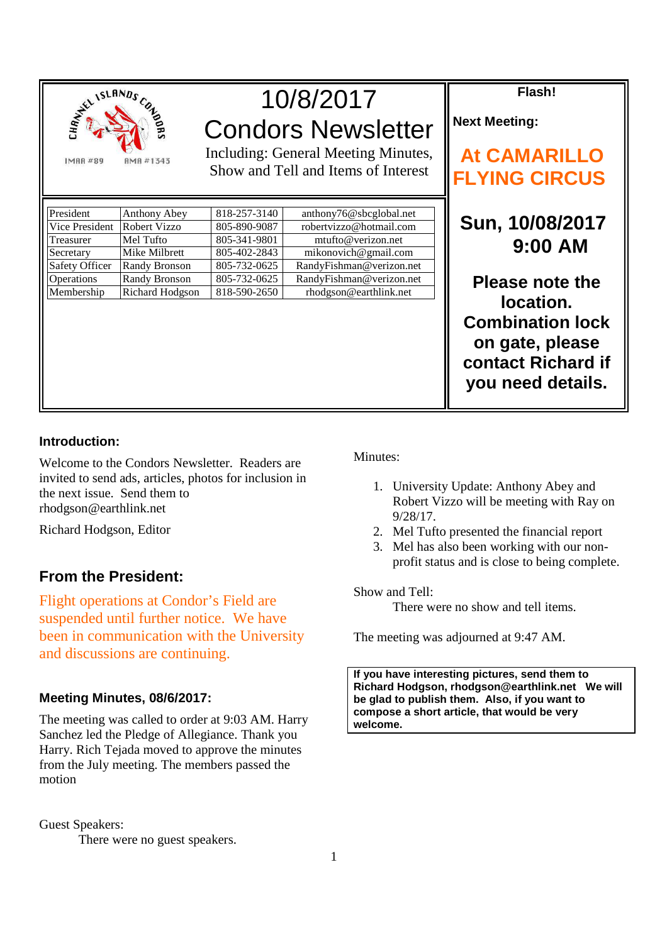

# 10/8/2017 Condors Newsletter

Including: General Meeting Minutes, Show and Tell and Items of Interest

| President             | Anthony Abey         | 818-257-3140 | anthony76@sbcglobal.net  |
|-----------------------|----------------------|--------------|--------------------------|
| Vice President        | <b>Robert Vizzo</b>  | 805-890-9087 | robertvizzo@hotmail.com  |
| Treasurer             | Mel Tufto            | 805-341-9801 | mtufto@verizon.net       |
| Secretary             | Mike Milbrett        | 805-402-2843 | mikonovich@gmail.com     |
| <b>Safety Officer</b> | <b>Randy Bronson</b> | 805-732-0625 | RandyFishman@verizon.net |
| Operations            | <b>Randy Bronson</b> | 805-732-0625 | RandyFishman@verizon.net |
| Membership            | Richard Hodgson      | 818-590-2650 | rhodgson@earthlink.net   |

**Flash!** 

**Next Meeting:** 

# **At CAMARILLO FLYING CIRCUS**

 **Sun, 10/08/2017 9:00 AM** 

**Please note the location. Combination lock on gate, please contact Richard if you need details.** 

### **Introduction:**

Welcome to the Condors Newsletter. Readers are invited to send ads, articles, photos for inclusion in the next issue. Send them to rhodgson@earthlink.net

Richard Hodgson, Editor

## **From the President:**

Flight operations at Condor's Field are suspended until further notice. We have been in communication with the University and discussions are continuing.

#### **Meeting Minutes, 08/6/2017:**

The meeting was called to order at 9:03 AM. Harry Sanchez led the Pledge of Allegiance. Thank you Harry. Rich Tejada moved to approve the minutes from the July meeting. The members passed the motion

Guest Speakers:

There were no guest speakers.

#### Minutes:

- 1. University Update: Anthony Abey and Robert Vizzo will be meeting with Ray on 9/28/17.
- 2. Mel Tufto presented the financial report
- 3. Mel has also been working with our nonprofit status and is close to being complete.

Show and Tell:

There were no show and tell items.

The meeting was adjourned at 9:47 AM.

**If you have interesting pictures, send them to Richard Hodgson, rhodgson@earthlink.net We will be glad to publish them. Also, if you want to compose a short article, that would be very welcome.**